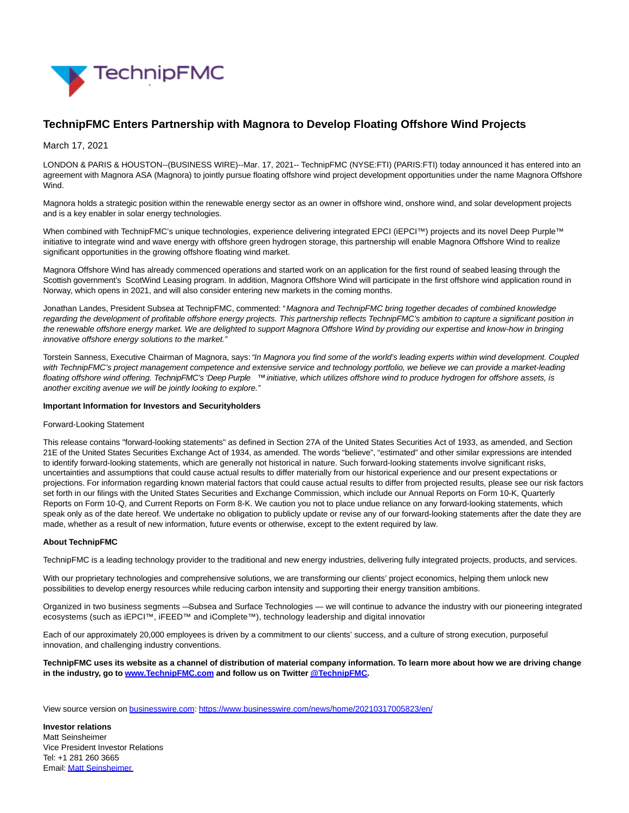

## **TechnipFMC Enters Partnership with Magnora to Develop Floating Offshore Wind Projects**

March 17, 2021

LONDON & PARIS & HOUSTON--(BUSINESS WIRE)--Mar. 17, 2021-- TechnipFMC (NYSE:FTI) (PARIS:FTI) today announced it has entered into an agreement with Magnora ASA (Magnora) to jointly pursue floating offshore wind project development opportunities under the name Magnora Offshore Wind.

Magnora holds a strategic position within the renewable energy sector as an owner in offshore wind, onshore wind, and solar development projects and is a key enabler in solar energy technologies.

When combined with TechnipFMC's unique technologies, experience delivering integrated EPCI (iEPCI™) projects and its novel Deep Purple™ initiative to integrate wind and wave energy with offshore green hydrogen storage, this partnership will enable Magnora Offshore Wind to realize significant opportunities in the growing offshore floating wind market.

Magnora Offshore Wind has already commenced operations and started work on an application for the first round of seabed leasing through the Scottish government's ScotWind Leasing program. In addition, Magnora Offshore Wind will participate in the first offshore wind application round in Norway, which opens in 2021, and will also consider entering new markets in the coming months.

Jonathan Landes, President Subsea at TechnipFMC, commented: "Magnora and TechnipFMC bring together decades of combined knowledge regarding the development of profitable offshore energy projects. This partnership reflects TechnipFMC's ambition to capture a significant position in the renewable offshore energy market. We are delighted to support Magnora Offshore Wind by providing our expertise and know-how in bringing innovative offshore energy solutions to the market."

Torstein Sanness, Executive Chairman of Magnora, says: "In Magnora you find some of the world's leading experts within wind development. Coupled with TechnipFMC's project management competence and extensive service and technology portfolio, we believe we can provide a market-leading floating offshore wind offering. TechnipFMC's 'Deep Purple ™' initiative, which utilizes offshore wind to produce hydrogen for offshore assets, is another exciting avenue we will be jointly looking to explore."

## **Important Information for Investors and Securityholders**

## Forward-Looking Statement

This release contains "forward-looking statements" as defined in Section 27A of the United States Securities Act of 1933, as amended, and Section 21E of the United States Securities Exchange Act of 1934, as amended. The words "believe", "estimated" and other similar expressions are intended to identify forward-looking statements, which are generally not historical in nature. Such forward-looking statements involve significant risks, uncertainties and assumptions that could cause actual results to differ materially from our historical experience and our present expectations or projections. For information regarding known material factors that could cause actual results to differ from projected results, please see our risk factors set forth in our filings with the United States Securities and Exchange Commission, which include our Annual Reports on Form 10-K, Quarterly Reports on Form 10-Q, and Current Reports on Form 8-K. We caution you not to place undue reliance on any forward-looking statements, which speak only as of the date hereof. We undertake no obligation to publicly update or revise any of our forward-looking statements after the date they are made, whether as a result of new information, future events or otherwise, except to the extent required by law.

## **About TechnipFMC**

TechnipFMC is a leading technology provider to the traditional and new energy industries, delivering fully integrated projects, products, and services.

With our proprietary technologies and comprehensive solutions, we are transforming our clients' project economics, helping them unlock new possibilities to develop energy resources while reducing carbon intensity and supporting their energy transition ambitions.

Organized in two business segments — Subsea and Surface Technologies — we will continue to advance the industry with our pioneering integrated ecosystems (such as iEPCI™, iFEED™ and iComplete™), technology leadership and digital innovation

Each of our approximately 20,000 employees is driven by a commitment to our clients' success, and a culture of strong execution, purposeful innovation, and challenging industry conventions.

**TechnipFMC uses its website as a channel of distribution of material company information. To learn more about how we are driving change in the industry, go to [www.TechnipFMC.com a](https://cts.businesswire.com/ct/CT?id=smartlink&url=http%3A%2F%2Fwww.technipfmc.com%2F&esheet=52397705&newsitemid=20210317005823&lan=en-US&anchor=www.TechnipFMC.com&index=1&md5=0865855599e97d0edb9f153764a13ba4)nd follow us on Twitte[r @TechnipFMC.](https://cts.businesswire.com/ct/CT?id=smartlink&url=https%3A%2F%2Ftwitter.com%2Ftechnipfmc&esheet=52397705&newsitemid=20210317005823&lan=en-US&anchor=%40TechnipFMC&index=2&md5=55c51fa6461aa64cbb05e80f374a6e4b)**

View source version on [businesswire.com:](http://businesswire.com/)<https://www.businesswire.com/news/home/20210317005823/en/>

**Investor relations** Matt Seinsheimer Vice President Investor Relations Tel: +1 281 260 3665 Email[: Matt Seinsheimer](mailto:InvestorRelations@TechnipFMC.com)